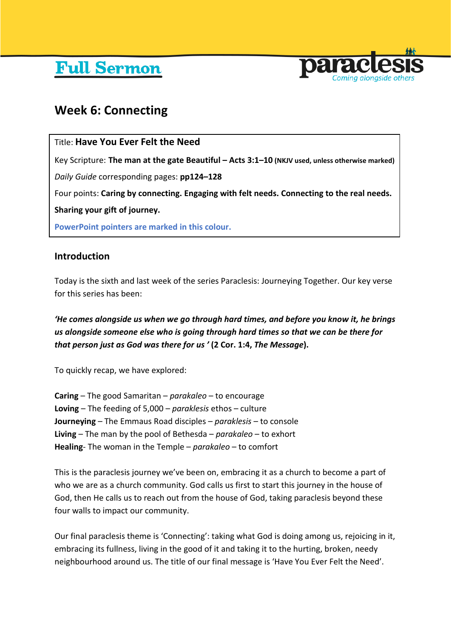# **Full Sermon**



## **Week 6: Connecting**

## Title: **Have You Ever Felt the Need**

Key Scripture: **The man at the gate Beautiful – Acts 3:1–10 (NKJV used, unless otherwise marked)**

*Daily Guide* corresponding pages: **pp124–128**

Four points: **Caring by connecting. Engaging with felt needs. Connecting to the real needs.** 

**Sharing your gift of journey.**

**PowerPoint pointers are marked in this colour.**

## **Introduction**

Today is the sixth and last week of the series Paraclesis: Journeying Together. Our key verse for this series has been:

*'He comes alongside us when we go through hard times, and before you know it, he brings us alongside someone else who is going through hard times so that we can be there for that person just as God was there for us '* **(2 Cor. 1:4,** *The Message***).**

To quickly recap, we have explored:

**Caring** – The good Samaritan – *parakaleo* – to encourage **Loving** – The feeding of 5,000 – *paraklesis* ethos – culture **Journeying** – The Emmaus Road disciples – *paraklesis* – to console **Living** – The man by the pool of Bethesda – *parakaleo* – to exhort **Healing**- The woman in the Temple – *parakaleo* – to comfort

This is the paraclesis journey we've been on, embracing it as a church to become a part of who we are as a church community. God calls us first to start this journey in the house of God, then He calls us to reach out from the house of God, taking paraclesis beyond these four walls to impact our community.

Our final paraclesis theme is 'Connecting': taking what God is doing among us, rejoicing in it, embracing its fullness, living in the good of it and taking it to the hurting, broken, needy neighbourhood around us. The title of our final message is 'Have You Ever Felt the Need'.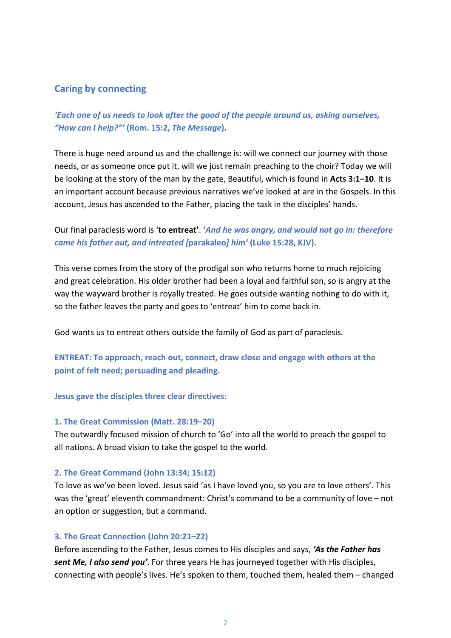## **Caring by connecting**

*'Each one of us needs to look after the good of the people around us, asking ourselves, "How can I help?"'* **(Rom. 15:2,** *The Message***).**

There is huge need around us and the challenge is: will we connect our journey with those needs, or as someone once put it, will we just remain preaching to the choir? Today we will be looking at the story of the man by the gate, Beautiful, which is found in **Acts 3:1–10**. It is an important account because previous narratives we've looked at are in the Gospels. In this account, Jesus has ascended to the Father, placing the task in the disciples' hands.

Our final paraclesis word is '**to entreat'**. **'***And he was angry, and would not go in: therefore came his father out, and intreated [***parakaleo***] him'* **(Luke 15:28, KJV).**

This verse comes from the story of the prodigal son who returns home to much rejoicing and great celebration. His older brother had been a loyal and faithful son, so is angry at the way the wayward brother is royally treated. He goes outside wanting nothing to do with it, so the father leaves the party and goes to 'entreat' him to come back in.

God wants us to entreat others outside the family of God as part of paraclesis.

**ENTREAT: To approach, reach out, connect, draw close and engage with others at the point of felt need; persuading and pleading.**

**Jesus gave the disciples three clear directives:**

#### **1. The Great Commission (Matt. 28:19–20)**

The outwardly focused mission of church to 'Go' into all the world to preach the gospel to all nations. A broad vision to take the gospel to the world.

#### **2. The Great Command (John 13:34; 15:12)**

To love as we've been loved. Jesus said 'as I have loved you, so you are to love others'. This was the 'great' eleventh commandment: Christ's command to be a community of love – not an option or suggestion, but a command.

## **3. The Great Connection (John 20:21–22)**

Before ascending to the Father, Jesus comes to His disciples and says, *'As the Father has sent Me, I also send you'*. For three years He has journeyed together with His disciples, connecting with people's lives. He's spoken to them, touched them, healed them – changed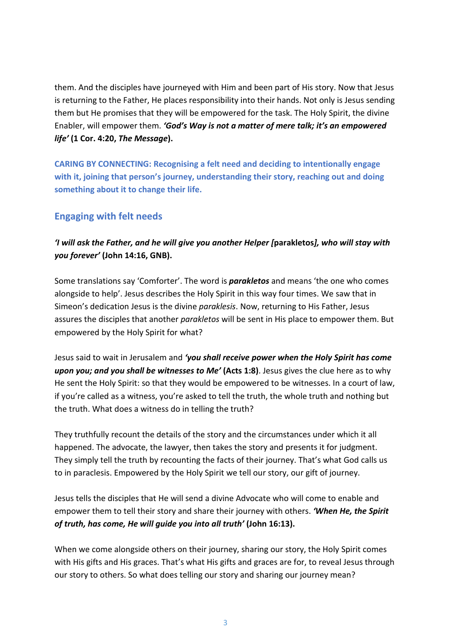them. And the disciples have journeyed with Him and been part of His story. Now that Jesus is returning to the Father, He places responsibility into their hands. Not only is Jesus sending them but He promises that they will be empowered for the task. The Holy Spirit, the divine Enabler, will empower them. *'God's Way is not a matter of mere talk; it's an empowered life'* **(1 Cor. 4:20,** *The Message***).**

**CARING BY CONNECTING: Recognising a felt need and deciding to intentionally engage with it, joining that person's journey, understanding their story, reaching out and doing something about it to change their life.**

## **Engaging with felt needs**

## *'I will ask the Father, and he will give you another Helper [***parakletos***], who will stay with you forever'* **(John 14:16, GNB).**

Some translations say 'Comforter'. The word is *parakletos* and means 'the one who comes alongside to help'. Jesus describes the Holy Spirit in this way four times. We saw that in Simeon's dedication Jesus is the divine *paraklesis*. Now, returning to His Father, Jesus assures the disciples that another *parakletos* will be sent in His place to empower them. But empowered by the Holy Spirit for what?

Jesus said to wait in Jerusalem and *'you shall receive power when the Holy Spirit has come upon you; and you shall be witnesses to Me'* **(Acts 1:8)**. Jesus gives the clue here as to why He sent the Holy Spirit: so that they would be empowered to be witnesses. In a court of law, if you're called as a witness, you're asked to tell the truth, the whole truth and nothing but the truth. What does a witness do in telling the truth?

They truthfully recount the details of the story and the circumstances under which it all happened. The advocate, the lawyer, then takes the story and presents it for judgment. They simply tell the truth by recounting the facts of their journey. That's what God calls us to in paraclesis. Empowered by the Holy Spirit we tell our story, our gift of journey.

Jesus tells the disciples that He will send a divine Advocate who will come to enable and empower them to tell their story and share their journey with others. *'When He, the Spirit of truth, has come, He will guide you into all truth'* **(John 16:13).**

When we come alongside others on their journey, sharing our story, the Holy Spirit comes with His gifts and His graces. That's what His gifts and graces are for, to reveal Jesus through our story to others. So what does telling our story and sharing our journey mean?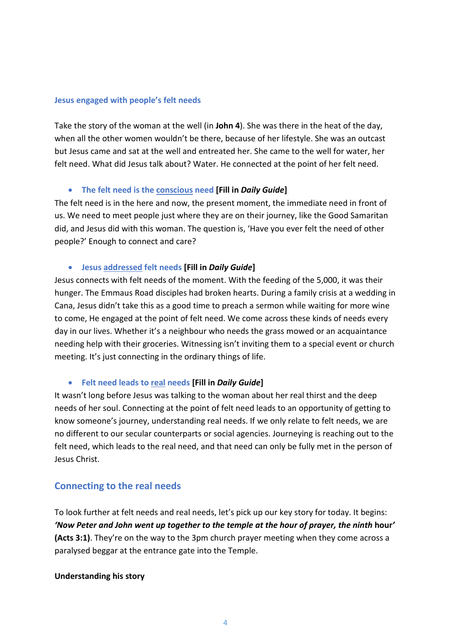#### **Jesus engaged with people's felt needs**

Take the story of the woman at the well (in **John 4**). She was there in the heat of the day, when all the other women wouldn't be there, because of her lifestyle. She was an outcast but Jesus came and sat at the well and entreated her. She came to the well for water, her felt need. What did Jesus talk about? Water. He connected at the point of her felt need.

## • **The felt need is the conscious need [Fill in** *Daily Guide***]**

The felt need is in the here and now, the present moment, the immediate need in front of us. We need to meet people just where they are on their journey, like the Good Samaritan did, and Jesus did with this woman. The question is, 'Have you ever felt the need of other people?' Enough to connect and care?

## • **Jesus addressed felt needs [Fill in** *Daily Guide***]**

Jesus connects with felt needs of the moment. With the feeding of the 5,000, it was their hunger. The Emmaus Road disciples had broken hearts. During a family crisis at a wedding in Cana, Jesus didn't take this as a good time to preach a sermon while waiting for more wine to come, He engaged at the point of felt need. We come across these kinds of needs every day in our lives. Whether it's a neighbour who needs the grass mowed or an acquaintance needing help with their groceries. Witnessing isn't inviting them to a special event or church meeting. It's just connecting in the ordinary things of life.

## • **Felt need leads to real needs [Fill in** *Daily Guide***]**

It wasn't long before Jesus was talking to the woman about her real thirst and the deep needs of her soul. Connecting at the point of felt need leads to an opportunity of getting to know someone's journey, understanding real needs. If we only relate to felt needs, we are no different to our secular counterparts or social agencies. Journeying is reaching out to the felt need, which leads to the real need, and that need can only be fully met in the person of Jesus Christ.

## **Connecting to the real needs**

To look further at felt needs and real needs, let's pick up our key story for today. It begins: *'Now Peter and John went up together to the temple at the hour of prayer, the ninth* **hour***'* **(Acts 3:1)**. They're on the way to the 3pm church prayer meeting when they come across a paralysed beggar at the entrance gate into the Temple.

## **Understanding his story**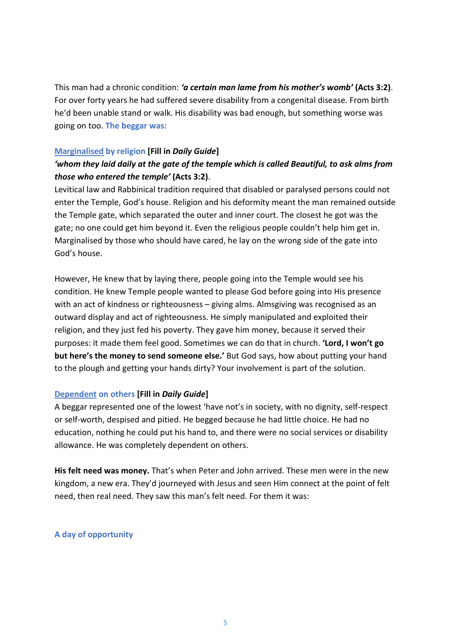This man had a chronic condition: *'a certain man lame from his mother's womb'* **(Acts 3:2)**. For over forty years he had suffered severe disability from a congenital disease. From birth he'd been unable stand or walk. His disability was bad enough, but something worse was going on too. **The beggar was:**

## **Marginalised by religion [Fill in** *Daily Guide***]**

## *'whom they laid daily at the gate of the temple which is called Beautiful, to ask alms from those who entered the temple'* **(Acts 3:2)**.

Levitical law and Rabbinical tradition required that disabled or paralysed persons could not enter the Temple, God's house. Religion and his deformity meant the man remained outside the Temple gate, which separated the outer and inner court. The closest he got was the gate; no one could get him beyond it. Even the religious people couldn't help him get in. Marginalised by those who should have cared, he lay on the wrong side of the gate into God's house.

However, He knew that by laying there, people going into the Temple would see his condition. He knew Temple people wanted to please God before going into His presence with an act of kindness or righteousness – giving alms. Almsgiving was recognised as an outward display and act of righteousness. He simply manipulated and exploited their religion, and they just fed his poverty. They gave him money, because it served their purposes: it made them feel good. Sometimes we can do that in church. **'Lord, I won't go but here's the money to send someone else.'** But God says, how about putting your hand to the plough and getting your hands dirty? Your involvement is part of the solution.

## **Dependent on others [Fill in** *Daily Guide***]**

A beggar represented one of the lowest 'have not's in society, with no dignity, self-respect or self-worth, despised and pitied. He begged because he had little choice. He had no education, nothing he could put his hand to, and there were no social services or disability allowance. He was completely dependent on others.

**His felt need was money.** That's when Peter and John arrived. These men were in the new kingdom, a new era. They'd journeyed with Jesus and seen Him connect at the point of felt need, then real need. They saw this man's felt need. For them it was:

## **A day of opportunity**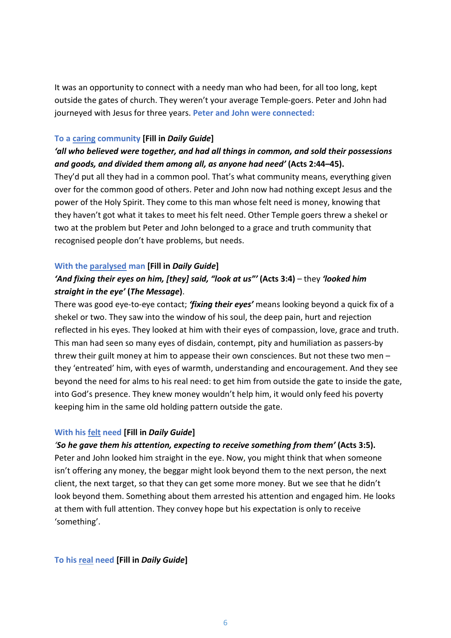It was an opportunity to connect with a needy man who had been, for all too long, kept outside the gates of church. They weren't your average Temple-goers. Peter and John had journeyed with Jesus for three years. **Peter and John were connected:**

## **To a caring community [Fill in** *Daily Guide***]**

## *'all who believed were together, and had all things in common, and sold their possessions and goods, and divided them among all, as anyone had need'* **(Acts 2:44–45).**

They'd put all they had in a common pool. That's what community means, everything given over for the common good of others. Peter and John now had nothing except Jesus and the power of the Holy Spirit. They come to this man whose felt need is money, knowing that they haven't got what it takes to meet his felt need. Other Temple goers threw a shekel or two at the problem but Peter and John belonged to a grace and truth community that recognised people don't have problems, but needs.

## **With the paralysed man [Fill in** *Daily Guide***]**

## *'And fixing their eyes on him, [they] said, "look at us"'* **(Acts 3:4)** – they *'looked him straight in the eye'* **(***The Message***)**.

There was good eye-to-eye contact; *'fixing their eyes'* means looking beyond a quick fix of a shekel or two. They saw into the window of his soul, the deep pain, hurt and rejection reflected in his eyes. They looked at him with their eyes of compassion, love, grace and truth. This man had seen so many eyes of disdain, contempt, pity and humiliation as passers-by threw their guilt money at him to appease their own consciences. But not these two men – they 'entreated' him, with eyes of warmth, understanding and encouragement. And they see beyond the need for alms to his real need: to get him from outside the gate to inside the gate, into God's presence. They knew money wouldn't help him, it would only feed his poverty keeping him in the same old holding pattern outside the gate.

## **With his felt need [Fill in** *Daily Guide***]**

## *'So he gave them his attention, expecting to receive something from them'* **(Acts 3:5).**

Peter and John looked him straight in the eye. Now, you might think that when someone isn't offering any money, the beggar might look beyond them to the next person, the next client, the next target, so that they can get some more money. But we see that he didn't look beyond them. Something about them arrested his attention and engaged him. He looks at them with full attention. They convey hope but his expectation is only to receive 'something'.

## **To his real need [Fill in** *Daily Guide***]**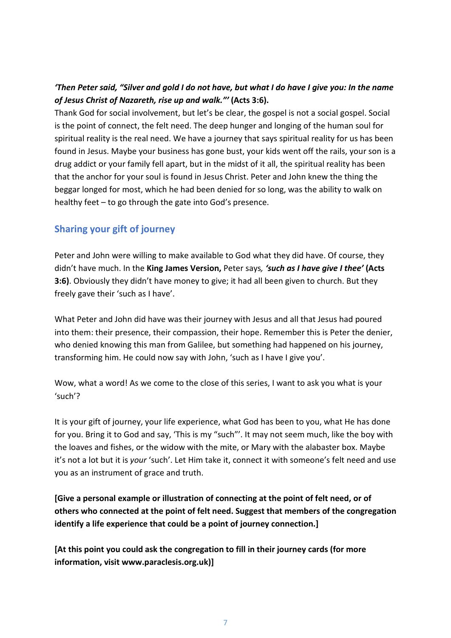## *'Then Peter said, "Silver and gold I do not have, but what I do have I give you: In the name of Jesus Christ of Nazareth, rise up and walk."'* **(Acts 3:6).**

Thank God for social involvement, but let's be clear, the gospel is not a social gospel. Social is the point of connect, the felt need. The deep hunger and longing of the human soul for spiritual reality is the real need. We have a journey that says spiritual reality for us has been found in Jesus. Maybe your business has gone bust, your kids went off the rails, your son is a drug addict or your family fell apart, but in the midst of it all, the spiritual reality has been that the anchor for your soul is found in Jesus Christ. Peter and John knew the thing the beggar longed for most, which he had been denied for so long, was the ability to walk on healthy feet – to go through the gate into God's presence.

## **Sharing your gift of journey**

Peter and John were willing to make available to God what they did have. Of course, they didn't have much. In the **King James Version,** Peter says*, 'such as I have give I thee'* **(Acts 3:6)**. Obviously they didn't have money to give; it had all been given to church. But they freely gave their 'such as I have'.

What Peter and John did have was their journey with Jesus and all that Jesus had poured into them: their presence, their compassion, their hope. Remember this is Peter the denier, who denied knowing this man from Galilee, but something had happened on his journey, transforming him. He could now say with John, 'such as I have I give you'.

Wow, what a word! As we come to the close of this series, I want to ask you what is your 'such'?

It is your gift of journey, your life experience, what God has been to you, what He has done for you. Bring it to God and say, 'This is my "such"'. It may not seem much, like the boy with the loaves and fishes, or the widow with the mite, or Mary with the alabaster box. Maybe it's not a lot but it is *your* 'such'. Let Him take it, connect it with someone's felt need and use you as an instrument of grace and truth.

**[Give a personal example or illustration of connecting at the point of felt need, or of others who connected at the point of felt need. Suggest that members of the congregation identify a life experience that could be a point of journey connection.]**

**[At this point you could ask the congregation to fill in their journey cards (for more information, visit www.paraclesis.org.uk)]**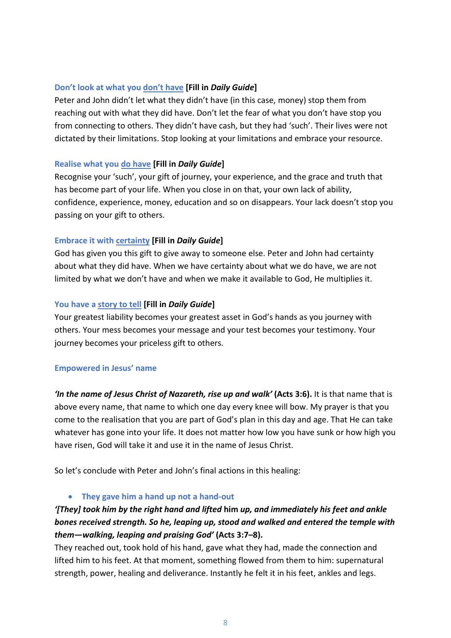## **Don't look at what you don't have [Fill in** *Daily Guide***]**

Peter and John didn't let what they didn't have (in this case, money) stop them from reaching out with what they did have. Don't let the fear of what you don't have stop you from connecting to others. They didn't have cash, but they had 'such'. Their lives were not dictated by their limitations. Stop looking at your limitations and embrace your resource.

## **Realise what you do have [Fill in** *Daily Guide***]**

Recognise your 'such', your gift of journey, your experience, and the grace and truth that has become part of your life. When you close in on that, your own lack of ability, confidence, experience, money, education and so on disappears. Your lack doesn't stop you passing on your gift to others.

## **Embrace it with certainty [Fill in** *Daily Guide***]**

God has given you this gift to give away to someone else. Peter and John had certainty about what they did have. When we have certainty about what we do have, we are not limited by what we don't have and when we make it available to God, He multiplies it.

## **You have a story to tell [Fill in** *Daily Guide***]**

Your greatest liability becomes your greatest asset in God's hands as you journey with others. Your mess becomes your message and your test becomes your testimony. Your journey becomes your priceless gift to others.

## **Empowered in Jesus' name**

*'In the name of Jesus Christ of Nazareth, rise up and walk'* **(Acts 3:6).** It is that name that is above every name, that name to which one day every knee will bow. My prayer is that you come to the realisation that you are part of God's plan in this day and age. That He can take whatever has gone into your life. It does not matter how low you have sunk or how high you have risen, God will take it and use it in the name of Jesus Christ.

So let's conclude with Peter and John's final actions in this healing:

• **They gave him a hand up not a hand-out**

## *'[They] took him by the right hand and lifted* **him** *up, and immediately his feet and ankle bones received strength. So he, leaping up, stood and walked and entered the temple with them—walking, leaping and praising God'* **(Acts 3:7–8).**

They reached out, took hold of his hand, gave what they had, made the connection and lifted him to his feet. At that moment, something flowed from them to him: supernatural strength, power, healing and deliverance. Instantly he felt it in his feet, ankles and legs.